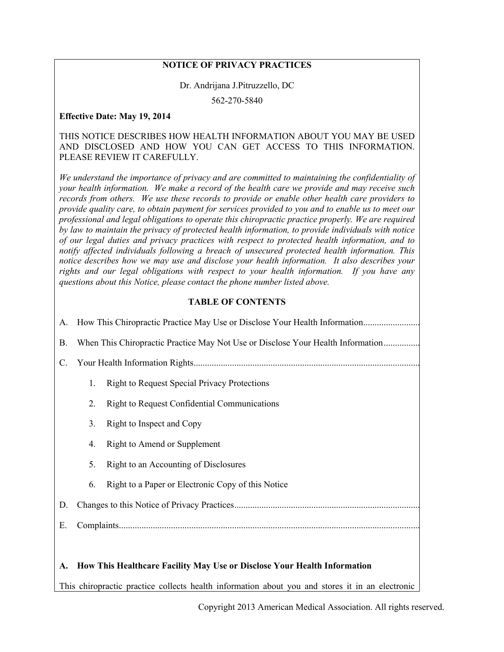## **NOTICE OF PRIVACY PRACTICES**

#### Dr. Andrijana J.Pitruzzello, DC

562-270-5840

#### **Effective Date: May 19, 2014**

#### THIS NOTICE DESCRIBES HOW HEALTH INFORMATION ABOUT YOU MAY BE USED AND DISCLOSED AND HOW YOU CAN GET ACCESS TO THIS INFORMATION. PLEASE REVIEW IT CAREFULLY.

*We understand the importance of privacy and are committed to maintaining the confidentiality of your health information. We make a record of the health care we provide and may receive such records from others. We use these records to provide or enable other health care providers to provide quality care, to obtain payment for services provided to you and to enable us to meet our professional and legal obligations to operate this chiropractic practice properly. We are required by law to maintain the privacy of protected health information, to provide individuals with notice of our legal duties and privacy practices with respect to protected health information, and to notify affected individuals following a breach of unsecured protected health information. This notice describes how we may use and disclose your health information. It also describes your rights and our legal obligations with respect to your health information. If you have any questions about this Notice, please contact the phone number listed above.*

#### **TABLE OF CONTENTS**

|           | A. How This Chiropractic Practice May Use or Disclose Your Health Information   |                                                     |
|-----------|---------------------------------------------------------------------------------|-----------------------------------------------------|
| <b>B.</b> | When This Chiropractic Practice May Not Use or Disclose Your Health Information |                                                     |
| C.        |                                                                                 |                                                     |
|           | 1.                                                                              | <b>Right to Request Special Privacy Protections</b> |
|           | 2.                                                                              | <b>Right to Request Confidential Communications</b> |
|           | 3.                                                                              | Right to Inspect and Copy                           |
|           | 4.                                                                              | Right to Amend or Supplement                        |
|           | 5.                                                                              | Right to an Accounting of Disclosures               |
|           | 6.                                                                              | Right to a Paper or Electronic Copy of this Notice  |
| D.        |                                                                                 |                                                     |
| Е.        |                                                                                 |                                                     |
|           |                                                                                 |                                                     |

### **A. How This Healthcare Facility May Use or Disclose Your Health Information**

This chiropractic practice collects health information about you and stores it in an electronic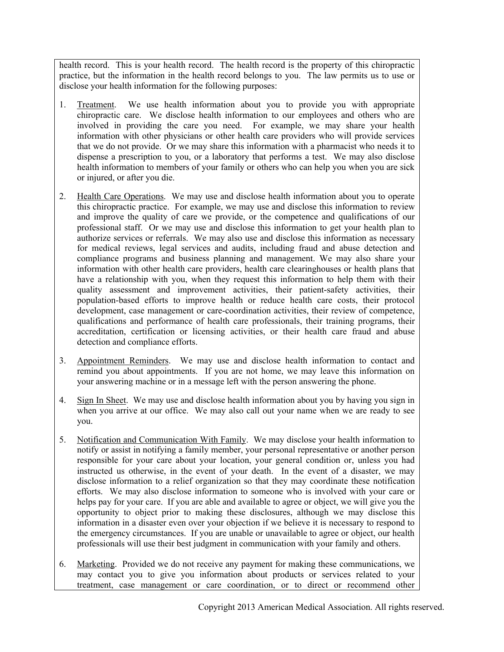health record. This is your health record. The health record is the property of this chiropractic practice, but the information in the health record belongs to you. The law permits us to use or disclose your health information for the following purposes:

- 1. Treatment. We use health information about you to provide you with appropriate chiropractic care. We disclose health information to our employees and others who are involved in providing the care you need. For example, we may share your health information with other physicians or other health care providers who will provide services that we do not provide. Or we may share this information with a pharmacist who needs it to dispense a prescription to you, or a laboratory that performs a test. We may also disclose health information to members of your family or others who can help you when you are sick or injured, or after you die.
- 2. Health Care Operations. We may use and disclose health information about you to operate this chiropractic practice. For example, we may use and disclose this information to review and improve the quality of care we provide, or the competence and qualifications of our professional staff. Or we may use and disclose this information to get your health plan to authorize services or referrals. We may also use and disclose this information as necessary for medical reviews, legal services and audits, including fraud and abuse detection and compliance programs and business planning and management. We may also share your information with other health care providers, health care clearinghouses or health plans that have a relationship with you, when they request this information to help them with their quality assessment and improvement activities, their patient-safety activities, their population-based efforts to improve health or reduce health care costs, their protocol development, case management or care-coordination activities, their review of competence, qualifications and performance of health care professionals, their training programs, their accreditation, certification or licensing activities, or their health care fraud and abuse detection and compliance efforts.
- 3. Appointment Reminders. We may use and disclose health information to contact and remind you about appointments. If you are not home, we may leave this information on your answering machine or in a message left with the person answering the phone.
- 4. Sign In Sheet. We may use and disclose health information about you by having you sign in when you arrive at our office. We may also call out your name when we are ready to see you.
- 5. Notification and Communication With Family. We may disclose your health information to notify or assist in notifying a family member, your personal representative or another person responsible for your care about your location, your general condition or, unless you had instructed us otherwise, in the event of your death. In the event of a disaster, we may disclose information to a relief organization so that they may coordinate these notification efforts. We may also disclose information to someone who is involved with your care or helps pay for your care. If you are able and available to agree or object, we will give you the opportunity to object prior to making these disclosures, although we may disclose this information in a disaster even over your objection if we believe it is necessary to respond to the emergency circumstances. If you are unable or unavailable to agree or object, our health professionals will use their best judgment in communication with your family and others.
- 6. Marketing. Provided we do not receive any payment for making these communications, we may contact you to give you information about products or services related to your treatment, case management or care coordination, or to direct or recommend other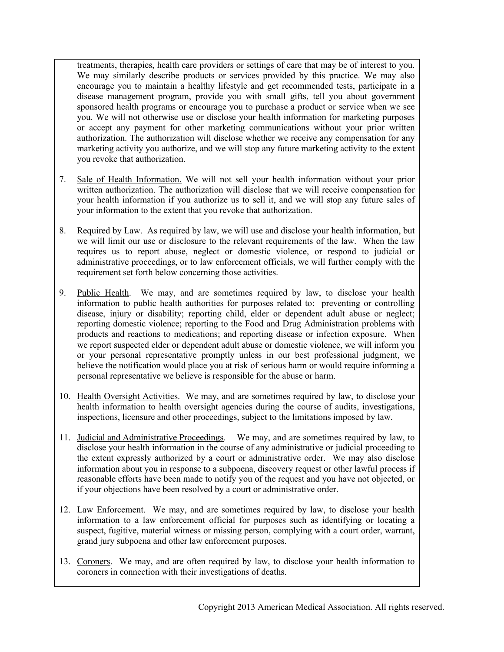treatments, therapies, health care providers or settings of care that may be of interest to you. We may similarly describe products or services provided by this practice. We may also encourage you to maintain a healthy lifestyle and get recommended tests, participate in a disease management program, provide you with small gifts, tell you about government sponsored health programs or encourage you to purchase a product or service when we see you. We will not otherwise use or disclose your health information for marketing purposes or accept any payment for other marketing communications without your prior written authorization. The authorization will disclose whether we receive any compensation for any marketing activity you authorize, and we will stop any future marketing activity to the extent you revoke that authorization.

- 7. Sale of Health Information. We will not sell your health information without your prior written authorization. The authorization will disclose that we will receive compensation for your health information if you authorize us to sell it, and we will stop any future sales of your information to the extent that you revoke that authorization.
- 8. Required by Law. As required by law, we will use and disclose your health information, but we will limit our use or disclosure to the relevant requirements of the law. When the law requires us to report abuse, neglect or domestic violence, or respond to judicial or administrative proceedings, or to law enforcement officials, we will further comply with the requirement set forth below concerning those activities.
- 9. Public Health. We may, and are sometimes required by law, to disclose your health information to public health authorities for purposes related to: preventing or controlling disease, injury or disability; reporting child, elder or dependent adult abuse or neglect; reporting domestic violence; reporting to the Food and Drug Administration problems with products and reactions to medications; and reporting disease or infection exposure. When we report suspected elder or dependent adult abuse or domestic violence, we will inform you or your personal representative promptly unless in our best professional judgment, we believe the notification would place you at risk of serious harm or would require informing a personal representative we believe is responsible for the abuse or harm.
- 10. Health Oversight Activities. We may, and are sometimes required by law, to disclose your health information to health oversight agencies during the course of audits, investigations, inspections, licensure and other proceedings, subject to the limitations imposed by law.
- 11. Judicial and Administrative Proceedings. We may, and are sometimes required by law, to disclose your health information in the course of any administrative or judicial proceeding to the extent expressly authorized by a court or administrative order. We may also disclose information about you in response to a subpoena, discovery request or other lawful process if reasonable efforts have been made to notify you of the request and you have not objected, or if your objections have been resolved by a court or administrative order.
- 12. Law Enforcement. We may, and are sometimes required by law, to disclose your health information to a law enforcement official for purposes such as identifying or locating a suspect, fugitive, material witness or missing person, complying with a court order, warrant, grand jury subpoena and other law enforcement purposes.
- 13. Coroners. We may, and are often required by law, to disclose your health information to coroners in connection with their investigations of deaths.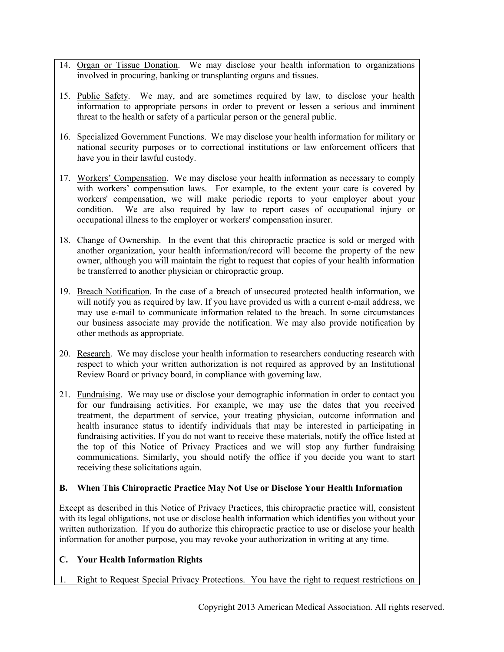- 14. Organ or Tissue Donation. We may disclose your health information to organizations involved in procuring, banking or transplanting organs and tissues.
- 15. Public Safety. We may, and are sometimes required by law, to disclose your health information to appropriate persons in order to prevent or lessen a serious and imminent threat to the health or safety of a particular person or the general public.
- 16. Specialized Government Functions. We may disclose your health information for military or national security purposes or to correctional institutions or law enforcement officers that have you in their lawful custody.
- 17. Workers' Compensation. We may disclose your health information as necessary to comply with workers' compensation laws. For example, to the extent your care is covered by workers' compensation, we will make periodic reports to your employer about your condition. We are also required by law to report cases of occupational injury or occupational illness to the employer or workers' compensation insurer.
- 18. Change of Ownership. In the event that this chiropractic practice is sold or merged with another organization, your health information/record will become the property of the new owner, although you will maintain the right to request that copies of your health information be transferred to another physician or chiropractic group.
- 19. Breach Notification. In the case of a breach of unsecured protected health information, we will notify you as required by law. If you have provided us with a current e-mail address, we may use e-mail to communicate information related to the breach. In some circumstances our business associate may provide the notification. We may also provide notification by other methods as appropriate.
- 20. Research. We may disclose your health information to researchers conducting research with respect to which your written authorization is not required as approved by an Institutional Review Board or privacy board, in compliance with governing law.
- 21. Fundraising. We may use or disclose your demographic information in order to contact you for our fundraising activities. For example, we may use the dates that you received treatment, the department of service, your treating physician, outcome information and health insurance status to identify individuals that may be interested in participating in fundraising activities. If you do not want to receive these materials, notify the office listed at the top of this Notice of Privacy Practices and we will stop any further fundraising communications. Similarly, you should notify the office if you decide you want to start receiving these solicitations again.

### **B. When This Chiropractic Practice May Not Use or Disclose Your Health Information**

Except as described in this Notice of Privacy Practices, this chiropractic practice will, consistent with its legal obligations, not use or disclose health information which identifies you without your written authorization. If you do authorize this chiropractic practice to use or disclose your health information for another purpose, you may revoke your authorization in writing at any time.

# **C. Your Health Information Rights**

1. Right to Request Special Privacy Protections. You have the right to request restrictions on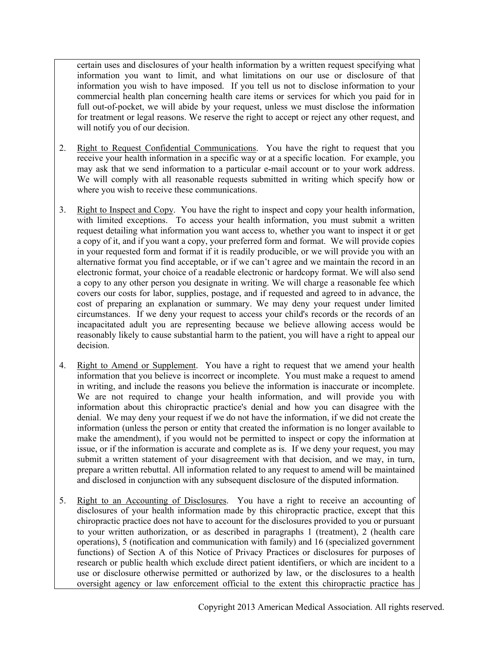certain uses and disclosures of your health information by a written request specifying what information you want to limit, and what limitations on our use or disclosure of that information you wish to have imposed. If you tell us not to disclose information to your commercial health plan concerning health care items or services for which you paid for in full out-of-pocket, we will abide by your request, unless we must disclose the information for treatment or legal reasons. We reserve the right to accept or reject any other request, and will notify you of our decision.

- 2. Right to Request Confidential Communications. You have the right to request that you receive your health information in a specific way or at a specific location. For example, you may ask that we send information to a particular e-mail account or to your work address. We will comply with all reasonable requests submitted in writing which specify how or where you wish to receive these communications.
- 3. Right to Inspect and Copy. You have the right to inspect and copy your health information, with limited exceptions. To access your health information, you must submit a written request detailing what information you want access to, whether you want to inspect it or get a copy of it, and if you want a copy, your preferred form and format. We will provide copies in your requested form and format if it is readily producible, or we will provide you with an alternative format you find acceptable, or if we can't agree and we maintain the record in an electronic format, your choice of a readable electronic or hardcopy format. We will also send a copy to any other person you designate in writing. We will charge a reasonable fee which covers our costs for labor, supplies, postage, and if requested and agreed to in advance, the cost of preparing an explanation or summary. We may deny your request under limited circumstances. If we deny your request to access your child's records or the records of an incapacitated adult you are representing because we believe allowing access would be reasonably likely to cause substantial harm to the patient, you will have a right to appeal our decision.
- 4. Right to Amend or Supplement. You have a right to request that we amend your health information that you believe is incorrect or incomplete. You must make a request to amend in writing, and include the reasons you believe the information is inaccurate or incomplete. We are not required to change your health information, and will provide you with information about this chiropractic practice's denial and how you can disagree with the denial. We may deny your request if we do not have the information, if we did not create the information (unless the person or entity that created the information is no longer available to make the amendment), if you would not be permitted to inspect or copy the information at issue, or if the information is accurate and complete as is. If we deny your request, you may submit a written statement of your disagreement with that decision, and we may, in turn, prepare a written rebuttal. All information related to any request to amend will be maintained and disclosed in conjunction with any subsequent disclosure of the disputed information.
- 5. Right to an Accounting of Disclosures. You have a right to receive an accounting of disclosures of your health information made by this chiropractic practice, except that this chiropractic practice does not have to account for the disclosures provided to you or pursuant to your written authorization, or as described in paragraphs 1 (treatment), 2 (health care operations), 5 (notification and communication with family) and 16 (specialized government functions) of Section A of this Notice of Privacy Practices or disclosures for purposes of research or public health which exclude direct patient identifiers, or which are incident to a use or disclosure otherwise permitted or authorized by law, or the disclosures to a health oversight agency or law enforcement official to the extent this chiropractic practice has